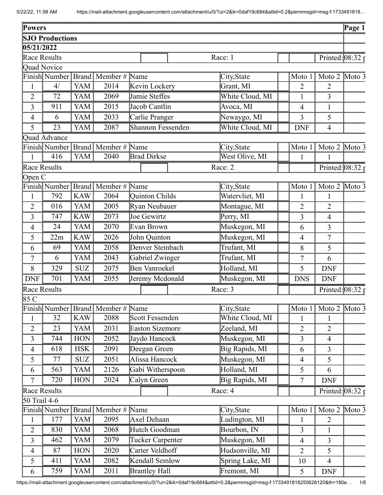| <b>SJO Productions</b><br>05/21/2022<br>Race Results<br>Race: 1<br>Printed: $08:32 \tau$<br><b>Quad Novice</b><br>Finish Number Brand Member # Name<br>Moto $2 \times 3$<br>City, State<br>Moto 1<br><b>YAM</b><br>2014<br>4/<br>Kevin Lockery<br>Grant, MI<br>$\overline{2}$<br>$\overline{2}$<br>1<br>White Cloud, MI<br><b>YAM</b><br>2069<br>Jamie Steffes<br>72<br>3<br>$\overline{2}$<br>1 | $\overline{\text{Page 1}}$ |
|--------------------------------------------------------------------------------------------------------------------------------------------------------------------------------------------------------------------------------------------------------------------------------------------------------------------------------------------------------------------------------------------------|----------------------------|
|                                                                                                                                                                                                                                                                                                                                                                                                  |                            |
|                                                                                                                                                                                                                                                                                                                                                                                                  |                            |
|                                                                                                                                                                                                                                                                                                                                                                                                  |                            |
|                                                                                                                                                                                                                                                                                                                                                                                                  |                            |
|                                                                                                                                                                                                                                                                                                                                                                                                  |                            |
|                                                                                                                                                                                                                                                                                                                                                                                                  |                            |
|                                                                                                                                                                                                                                                                                                                                                                                                  |                            |
| <b>YAM</b><br>2015<br>Jacob Cantlin<br>Avoca, $\overline{\text{MI}}$<br>911<br>3<br>$\mathbf{1}$<br>4                                                                                                                                                                                                                                                                                            |                            |
| YAM<br>2033<br>Carlie Pranger<br>Newaygo, MI<br>5<br>6<br>3<br>$\overline{4}$                                                                                                                                                                                                                                                                                                                    |                            |
| White Cloud, MI<br>23<br>YAM<br>2087<br>Shannon Fessenden<br>5<br><b>DNF</b><br>$\overline{4}$                                                                                                                                                                                                                                                                                                   |                            |
| Quad Advance                                                                                                                                                                                                                                                                                                                                                                                     |                            |
| Finish Number Brand   Member # Name<br>Moto $2 \times 3$<br>City, State<br>Moto 1                                                                                                                                                                                                                                                                                                                |                            |
| West Olive, MI<br>2040<br><b>Brad Dirkse</b><br>416<br>YAM<br>$\mathbf{1}$<br>1<br>$\mathbf{1}$                                                                                                                                                                                                                                                                                                  |                            |
| Race Results<br>Race: 2<br>Printed: $08:32 \tau$                                                                                                                                                                                                                                                                                                                                                 |                            |
| Open C                                                                                                                                                                                                                                                                                                                                                                                           |                            |
| Finish Number Brand Member # Name<br>Moto 2 Moto 3<br>City, State<br>Moto 1                                                                                                                                                                                                                                                                                                                      |                            |
| Quinton Childs<br>Watervliet, MI<br>792<br><b>KAW</b><br>2064<br>$\mathbf{1}$<br>1<br>$\mathbf{1}$                                                                                                                                                                                                                                                                                               |                            |
| Ryan Neubauer<br>2005<br>Montague, MI<br>016<br><b>YAM</b><br>$\overline{2}$<br>$\overline{2}$<br>$\overline{2}$                                                                                                                                                                                                                                                                                 |                            |
| Perry, MI<br><b>KAW</b><br>2073<br>Joe Gewirtz<br>3<br>747<br>3<br>4                                                                                                                                                                                                                                                                                                                             |                            |
| 2070<br>Evan Brown<br><b>YAM</b><br>Muskegon, MI<br>24<br>3<br>$\overline{4}$<br>6                                                                                                                                                                                                                                                                                                               |                            |
| <b>KAW</b><br>2026<br>Muskegon, MI<br>22m<br>John Quinton<br>$\overline{7}$<br>5<br>$\overline{4}$                                                                                                                                                                                                                                                                                               |                            |
| Trufant, MI<br>2058<br>Denver Steinbach<br>YAM<br>5<br>69<br>8<br>6                                                                                                                                                                                                                                                                                                                              |                            |
| Gabriel Zwinger<br>2043<br>Trufant, MI<br>YAM<br>$\overline{7}$<br>6<br>7<br>6                                                                                                                                                                                                                                                                                                                   |                            |
| Holland, MI<br>2075<br>Ben Vanroekel<br>329<br><b>SUZ</b><br>8<br>5<br><b>DNF</b>                                                                                                                                                                                                                                                                                                                |                            |
| Jeremy Mcdonald<br>701<br>YAM<br>2055<br>Muskegon, MI<br><b>DNF</b><br><b>DNS</b><br><b>DNF</b>                                                                                                                                                                                                                                                                                                  |                            |
| Race Results<br>Race: 3<br>Printed: $08:32 \text{ p}$                                                                                                                                                                                                                                                                                                                                            |                            |
| 85 C                                                                                                                                                                                                                                                                                                                                                                                             |                            |
| Finish Number Brand   Member # Name<br>Moto $2 \times 3$<br>City, State<br>Moto 1                                                                                                                                                                                                                                                                                                                |                            |
| <b>KAW</b><br>Scott Fessenden<br>White Cloud, MI<br>32<br>2088<br>1<br>1<br>1                                                                                                                                                                                                                                                                                                                    |                            |
| $\overline{2031}$<br><b>Easton Sizemore</b><br>Zeeland, MI<br>23<br>YAM<br>$\overline{2}$<br>$\overline{2}$<br>$\overline{2}$                                                                                                                                                                                                                                                                    |                            |
| Muskegon, MI<br><b>HON</b><br>2052<br>Jaydo Hancock<br>3<br>744<br>$\overline{3}$<br>$\overline{4}$                                                                                                                                                                                                                                                                                              |                            |
| Big Rapids, MI<br><b>HSK</b><br>2091<br>Deegan Green<br>618<br>3<br>$\overline{4}$<br>6                                                                                                                                                                                                                                                                                                          |                            |
| Alissa Hancock<br>Muskegon, MI<br><b>SUZ</b><br>2051<br>5<br>5<br>77<br>$\overline{4}$                                                                                                                                                                                                                                                                                                           |                            |
| Gabi Witherspoon<br>2126<br>Holland, MI<br>$\overline{563}$<br><b>YAM</b><br>5<br>6<br>6                                                                                                                                                                                                                                                                                                         |                            |
| 2024<br>Big Rapids, MI<br>$\tau$<br>720<br><b>HON</b><br>Calyn Green<br>$\boldsymbol{7}$<br><b>DNF</b>                                                                                                                                                                                                                                                                                           |                            |
| Race Results<br>Race: 4<br>Printed: $08:32 \text{ p}$                                                                                                                                                                                                                                                                                                                                            |                            |
| 50 Trail 4-6                                                                                                                                                                                                                                                                                                                                                                                     |                            |
| Finish Number<br>Brand   Member $#$<br>Name<br>Moto $2 \times 3$<br>City, State<br>Moto 1                                                                                                                                                                                                                                                                                                        |                            |
| YAM<br>2095<br>Ludington, MI<br>177<br>Axel Dehaan<br>$\overline{2}$<br>$\mathbf{1}$<br>$\mathbf{1}$                                                                                                                                                                                                                                                                                             |                            |
| Hutch Goodman<br>YAM<br>2068<br>Bourbon, IN<br>$\overline{2}$<br>830<br>3<br>$\mathbf{1}$                                                                                                                                                                                                                                                                                                        |                            |
| 462<br>YAM<br>2079<br>Tucker Carpenter<br>Muskegon, MI<br>$\overline{3}$<br>$\overline{4}$<br>$\overline{3}$                                                                                                                                                                                                                                                                                     |                            |
| Carter Veldhoff<br><b>HON</b><br>2020<br>Hudsonville, MI<br>87<br>5<br>$\overline{4}$<br>$\overline{2}$                                                                                                                                                                                                                                                                                          |                            |
| Kendall Semlow<br>Spring Lake, MI<br>YAM<br>2082<br>411<br>5<br>10<br>$\overline{4}$                                                                                                                                                                                                                                                                                                             |                            |
| YAM<br>2011<br><b>Brantley Hall</b><br>Fremont, MI<br>759<br>5<br>6<br><b>DNF</b>                                                                                                                                                                                                                                                                                                                |                            |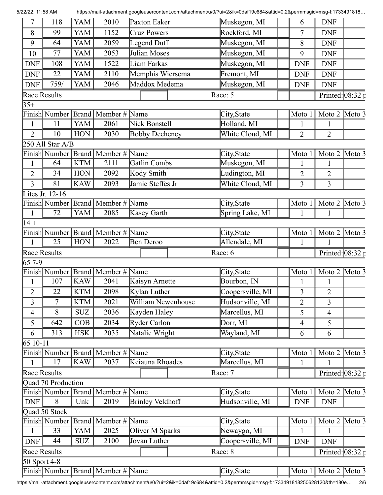7 | 118 | YAM | 2010 | Paxton Eaker | Muskegon, MI | | 6 | DNF 8 99 YAM 1152 Cruz Powers Rockford, MI 7 DNF 9 64 YAM 2059 Legend Duff Muskegon, MI 9 8 DNF 10 77 | YAM | 2053 | Julian Moses | Muskegon, MI | 9 | DNF DNF 108 YAM 1522 Liam Farkas Muskegon, MI DNF DNF DNF 22 YAM 2110 Memphis Wiersema Fremont, MI | DNF DNF DNF 759/ YAM 2046 Maddox Medema Muskegon, MI DNF DNF Race Results  $\sqrt{R}$  Race: 5  $\sqrt{P}$  Printed:  $(08:32)$  $35+$ Finish Number Brand Member # Name City,State Moto 1 Moto 2 Moto 3 1 | 11 | YAM | 2061 | Nick Bonstell | Holland, MI | | 1 | 1 2 | 10 | HON | 2030 | Bobby Decheney | White Cloud, MI | 2 | 2 250 All Star A/B Finish Number Brand | Member # Name City,State Moto 1 | Moto 1 | Moto 2 | Moto 3 1 64 KTM 2111 Gatlin Combs Muskegon, MI 1 1 2 34 HON 2092 Kody Smith Ludington, MI 2 2 3 81 KAW 2093 Jamie Steffes Jr White Cloud, MI 3 3 Lites Jr. 12-16 Finish Number Brand Member # Name City,State Moto 1 Moto 2 Moto 3 1 | 72 | YAM | 2085 | Kasey Garth | Spring Lake, MI | 1 | 1  $14 +$ Finish Number Brand Member # Name City,State Moto 1 Moto 2 Moto 3 1 25 HON 2022 Ben Deroo Allendale, MI 1 1 1 Race Results Race: 6 Printed: 08:32 p 65 7-9 Finish Number Brand Member # Name City,State Moto 1 Moto 2 Moto 3 1 | 107 | KAW | 2041 | Kaisyn Arnette | Bourbon, IN | | 1 | 1  $2 \mid 22 \mid$  KTM  $2098 \mid$  Kylan Luther  $\mid$  Coopersville, MI  $\mid$  3  $\mid$  2 3 7 KTM 2021 William Newenhouse Hudsonville, MI 2 3 4 | 8 | SUZ | 2036 | Kayden Haley | Marcellus, MI | | 5 | 4 5 642 COB 2034 Ryder Carlon Dorr, MI 1 4 5 6 | 313 | HSK | 2035 | Natalie Wright | Wayland, MI | 6 | 6 65 10-11 Finish Number Brand Member # Name City,State Moto 1 Moto 2 Moto 3 1 | 17 | KAW | 2037 | Keiauna Rhoades | Marcellus, MI | | 1 | 1 Race Results **Race: 7** Race: 7 **Printed:** 08:32 p Quad 70 Production Finish Number Brand Member # Name City,State Moto 1 Moto 2 Moto 3 DNF 8 Unk 2019 Brinley Veldhoff Hudsonville, MI DNF DNF Quad 50 Stock Finish Number Brand Member # Name City,State Moto 1 Moto 2 Moto 3 1 33 YAM 2025 Oliver M Sparks Newaygo, MI 1 1 1 DNF 44 | SUZ | 2100 | Jovan Luther | Coopersville, MI | DNF | DNF Race Results **Race: 8** Race: 8 **Printed:** 08:32 50 Sport 4-8 Finish Number Brand Member # Name City,State Moto 1 Moto 2 Moto 3

5/22/22, 11:58 AM https://mail-attachment.googleusercontent.com/attachment/u/0/?ui=2&ik=0daf19c684&attid=0.2&permmsgid=msg-f:1733491818…

https://mail-attachment.googleusercontent.com/attachment/u/0/?ui=2&ik=0daf19c684&attid=0.2&permmsgid=msg-f:1733491818250628120&th=180e… 2/6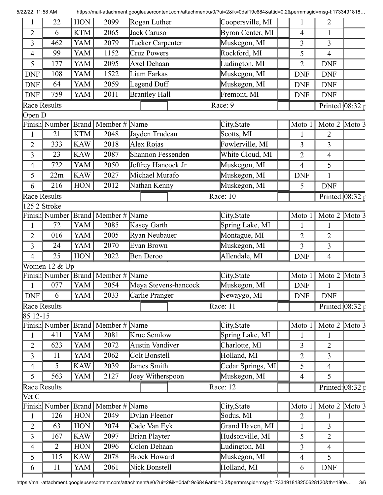| 5/22/22, 11:58 AM |                                    |              |                                       | https://mail-attachment.googleusercontent.com/attachment/u/0/?ui=2&ik=0daf19c684&attid=0.2&permmsgid=msg-f:1733491818 |                                       |                |                                   |                            |
|-------------------|------------------------------------|--------------|---------------------------------------|-----------------------------------------------------------------------------------------------------------------------|---------------------------------------|----------------|-----------------------------------|----------------------------|
| 1                 | 22                                 | <b>HON</b>   | 2099                                  | Rogan Luther                                                                                                          | Coopersville, MI                      |                | 2                                 |                            |
| $\overline{2}$    | 6                                  | <b>KTM</b>   | 2065                                  | Jack Caruso                                                                                                           | Byron Center, MI                      | $\overline{4}$ | 1                                 |                            |
| 3                 | 462                                | YAM          | 2079                                  | Tucker Carpenter                                                                                                      | Muskegon, MI                          | 3              | 3                                 |                            |
| 4                 | 99                                 | YAM          | 1152                                  | Cruz Powers                                                                                                           | Rockford, MI                          | 5              | 4                                 |                            |
| 5                 | 177                                | YAM          | 2095                                  | Axel Dehaan                                                                                                           | Ludington, MI                         | $\overline{2}$ | <b>DNF</b>                        |                            |
| <b>DNF</b>        | 108                                | YAM          | 1522                                  | Liam Farkas                                                                                                           | Muskegon, MI                          | <b>DNF</b>     | <b>DNF</b>                        |                            |
| <b>DNF</b>        | 64                                 | YAM          | 2059                                  | Legend Duff                                                                                                           | Muskegon, MI                          | <b>DNF</b>     | <b>DNF</b>                        |                            |
| <b>DNF</b>        | 759                                | YAM          | 2011                                  | <b>Brantley Hall</b>                                                                                                  | Fremont, MI                           | <b>DNF</b>     | <b>DNF</b>                        |                            |
|                   | Race Results                       |              |                                       |                                                                                                                       | Race: 9                               |                |                                   | Printed: $08:32 \text{ p}$ |
| Open D            |                                    |              |                                       |                                                                                                                       |                                       |                |                                   |                            |
|                   |                                    |              | Finish Number   Brand   Member # Name |                                                                                                                       | City, State                           | Moto 1         | Moto $2 \times 3$                 |                            |
| 1                 | 21                                 | <b>KTM</b>   | 2048                                  | Jayden Trudean                                                                                                        | Scotts, MI                            | $\mathbf{1}$   | $\overline{2}$                    |                            |
| $\overline{2}$    | 333                                | <b>KAW</b>   | 2018                                  | Alex Rojas                                                                                                            | Fowlerville, MI                       | $\overline{3}$ | 3                                 |                            |
| 3                 | 23                                 | <b>KAW</b>   | 2087                                  | Shannon Fessenden                                                                                                     | White Cloud, MI                       | $\overline{2}$ | 4                                 |                            |
| $\overline{4}$    | 722                                | YAM          | 2050                                  | Jeffrey Hancock Jr                                                                                                    | Muskegon, MI                          | $\overline{4}$ | 5                                 |                            |
| 5                 | 22m                                | <b>KAW</b>   | 2027                                  | Michael Murafo                                                                                                        | Muskegon, MI                          | <b>DNF</b>     | $\mathbf{1}$                      |                            |
| 6                 | 216                                | <b>HON</b>   | 2012                                  | Nathan Kenny                                                                                                          | Muskegon, MI                          | 5              | <b>DNF</b>                        |                            |
| Race Results      |                                    |              |                                       |                                                                                                                       | Race: 10                              |                |                                   | Printed: $08:32 \text{ r}$ |
|                   | 125 2 Stroke                       |              |                                       |                                                                                                                       |                                       |                |                                   |                            |
|                   | Finish Number   Brand              |              | Member # Name                         |                                                                                                                       | City, State                           | Moto 1         | Moto $2 \overline{\text{Moto 3}}$ |                            |
| 1                 | 72                                 | YAM          | 2085                                  | Kasey Garth                                                                                                           | Spring Lake, MI                       | $\mathbf{1}$   | $\mathbf{1}$                      |                            |
| $\overline{2}$    | 016                                | YAM          | 2005                                  | Ryan Neubauer                                                                                                         | Montague, MI                          | $\overline{2}$ | $\overline{2}$                    |                            |
| 3                 | 24                                 | YAM          | 2070                                  | Evan Brown                                                                                                            | Muskegon, MI                          | $\overline{3}$ | 3                                 |                            |
| 4                 | 25                                 | <b>HON</b>   | 2022                                  | Ben Deroo                                                                                                             | Allendale, MI                         | <b>DNF</b>     | $\overline{4}$                    |                            |
|                   | Women 12 & Up                      |              |                                       |                                                                                                                       |                                       |                |                                   |                            |
|                   | $\overline{\text{Fin}}$ ish Number | <b>Brand</b> | Member $\#$ Name                      |                                                                                                                       | City, State                           | Moto 1         | Moto 2 $Moto\overline{3}$         |                            |
|                   | 077                                | YAM          | 2054                                  | Meya Stevens-hancock                                                                                                  | Muskegon, MI                          | <b>DNF</b>     | 1                                 |                            |
| <b>DNF</b>        | 6                                  | YAM          | 2033                                  | Carlie Pranger                                                                                                        | Newaygo, MI                           | <b>DNF</b>     | <b>DNF</b>                        |                            |
|                   | <b>Race Results</b>                |              |                                       |                                                                                                                       | Race: 11                              |                |                                   | Printed: $08:32 \text{ p}$ |
| 85 12-15          |                                    |              |                                       |                                                                                                                       |                                       |                |                                   |                            |
|                   | Finish Number Brand                |              | Member #                              | Name                                                                                                                  | City, State                           | Moto 1         | Moto $2 \times 3$                 |                            |
| 1                 | 411                                | <b>YAM</b>   | 2081                                  | Krue Semlow                                                                                                           | Spring Lake, MI                       | $\mathbf{1}$   | 1                                 |                            |
| $\overline{2}$    | 623                                | YAM          | 2072                                  | <b>Austin Vandiver</b>                                                                                                | Charlotte, MI                         | $\overline{3}$ | $\overline{2}$                    |                            |
| 3                 | 11                                 | YAM          | 2062                                  | Colt Bonstell                                                                                                         | Holland, MI                           | $\overline{2}$ | $\overline{3}$                    |                            |
| 4                 | 5                                  | <b>KAW</b>   | 2039                                  | James Smith                                                                                                           | $\overline{\text{Cedar}}$ Springs, MI | 5              | $\overline{4}$                    |                            |
| 5                 | 563                                | YAM          | 2127                                  | Joey Witherspoon                                                                                                      | Muskegon, MI                          | $\overline{4}$ | 5                                 |                            |
|                   | <b>Race Results</b>                |              |                                       |                                                                                                                       | Race: 12                              |                |                                   | Printed: $08:32 \text{ p}$ |
| Vet C             |                                    |              |                                       |                                                                                                                       |                                       |                |                                   |                            |
|                   | Finish Number Brand                |              | Member $\#$ Name                      |                                                                                                                       | City, State                           | Moto 1         | Moto $2 \times 3$                 |                            |
| $\mathbf{1}$      | 126                                | $\rm HON$    | 2049                                  | Dylan Fleenor                                                                                                         | Sodus, MI                             | $\overline{2}$ | $\mathbf{1}$                      |                            |
| 2                 | 63                                 | <b>HON</b>   | 2074                                  | Cade Van Eyk                                                                                                          | Grand Haven, MI                       | $\mathbf{1}$   | 3                                 |                            |
| 3                 | 167                                | <b>KAW</b>   | 2097                                  | Brian Playter                                                                                                         | Hudsonville, MI                       | 5              | $\overline{2}$                    |                            |
| 4                 | $\overline{2}$                     | <b>HON</b>   | 2096                                  | Colon Dehaan                                                                                                          | Ludington, MI                         | 3              | 4                                 |                            |
| 5                 | 115                                | <b>KAW</b>   | 2078                                  | <b>Brock Howard</b>                                                                                                   | Muskegon, MI                          | $\overline{4}$ | 5                                 |                            |
| 6                 | 11                                 | YAM          | 2061                                  | Nick Bonstell                                                                                                         | Holland, MI                           | 6              | <b>DNF</b>                        |                            |
|                   |                                    |              |                                       |                                                                                                                       |                                       |                |                                   |                            |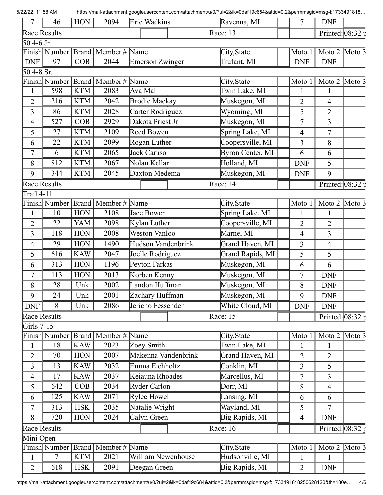| 7              | 46             | HON        | 2094                                  | Eric Wadkins           |                      |              | Ravenna, MI      | 7              | <b>DNF</b>                         |  |
|----------------|----------------|------------|---------------------------------------|------------------------|----------------------|--------------|------------------|----------------|------------------------------------|--|
| Race Results   |                |            |                                       |                        |                      |              | Race: 13         |                | Printed: $08:32 \text{ p}$         |  |
| 50 4-6 Jr.     |                |            |                                       |                        |                      |              |                  |                |                                    |  |
|                |                |            | Finish Number   Brand   Member # Name |                        |                      |              | City, State      | Moto 1         | Moto $2 \text{ Moto } 3$           |  |
| <b>DNF</b>     | 97             | COB        | 2044                                  | <b>Emerson Zwinger</b> |                      |              | Trufant, MI      | <b>DNF</b>     | <b>DNF</b>                         |  |
| 50 4-8 Sr.     |                |            |                                       |                        |                      |              |                  |                |                                    |  |
|                |                |            | Finish Number   Brand   Member # Name |                        |                      |              | City, State      | Moto 1         | Moto $2 \times 3$                  |  |
| 1              | 598            | <b>KTM</b> | 2083                                  | Ava Mall               |                      |              | Twin Lake, MI    | 1              | 1                                  |  |
| $\overline{2}$ | 216            | <b>KTM</b> | 2042                                  |                        | <b>Brodie Mackay</b> |              | Muskegon, MI     | $\overline{2}$ | 4                                  |  |
| 3              | 86             | <b>KTM</b> | 2028                                  | Carter Rodriguez       |                      | Wyoming, MI  | 5                | $\overline{2}$ |                                    |  |
| $\overline{4}$ | 527            | COB        | 2929                                  | Dakota Priest Jr       |                      | Muskegon, MI | 7                | 3              |                                    |  |
| 5              | 27             | <b>KTM</b> | 2109                                  | Reed Bowen             |                      |              | Spring Lake, MI  | $\overline{4}$ | 7                                  |  |
| 6              | 22             | <b>KTM</b> | 2099                                  | Rogan Luther           |                      |              | Coopersville, MI | 3              | 8                                  |  |
| $\overline{7}$ | 6              | <b>KTM</b> | 2065                                  | Jack Caruso            |                      |              | Byron Center, MI | 6              | 6                                  |  |
| 8              | 812            | <b>KTM</b> | 2067                                  | Nolan Kellar           |                      |              | Holland, MI      | <b>DNF</b>     | 5                                  |  |
| 9              | 344            | <b>KTM</b> | 2045                                  | Daxton Medema          |                      |              | Muskegon, MI     | <b>DNF</b>     | 9                                  |  |
| Race Results   |                |            |                                       |                        |                      |              | Race: 14         |                | Printed: $08:32 \tau$              |  |
| Trail 4-11     |                |            |                                       |                        |                      |              |                  |                |                                    |  |
|                |                |            | Finish Number   Brand   Member # Name |                        |                      |              | City, State      | Moto 1         | Moto $2 \times 3$                  |  |
| 1              | 10             | <b>HON</b> | 2108                                  | Jace Bowen             |                      |              | Spring Lake, MI  | 1              | 1                                  |  |
| $\overline{2}$ | 22             | YAM        | 2098                                  | Kylan Luther           |                      |              | Coopersville, MI | $\overline{2}$ | 2                                  |  |
| 3              | 118            | <b>HON</b> | 2008                                  | <b>Weston Vanloo</b>   |                      |              | Marne, MI        | $\overline{4}$ | 3                                  |  |
| 4              | 29             | <b>HON</b> | 1490                                  | Hudson Vandenbrink     |                      |              | Grand Haven, MI  | 3              | $\overline{4}$                     |  |
| 5              | 616            | <b>KAW</b> | 2047                                  | Joelle Rodriguez       |                      |              | Grand Rapids, MI | 5              | 5                                  |  |
| 6              | 313            | <b>HON</b> | 1196                                  | Peyton Farkas          |                      |              | Muskegon, MI     | 6              | 6                                  |  |
| 7              | 113            | <b>HON</b> | 2013                                  | Korben Kenny           |                      |              | Muskegon, MI     | 7              | <b>DNF</b>                         |  |
| 8              | 28             | Unk        | 2002                                  | Landon Huffman         |                      |              | Muskegon, MI     | 8              | <b>DNF</b>                         |  |
| 9              | 24             | Unk        | 2001                                  | Zachary Huffman        |                      |              | Muskegon, MI     | 9              | <b>DNF</b>                         |  |
| <b>DNF</b>     | 8              | Unk        | 2086                                  | Jericho Fessenden      |                      |              | White Cloud, MI  | <b>DNF</b>     | <b>DNF</b>                         |  |
| Race Results   |                |            |                                       |                        |                      |              | Race: 15         |                |                                    |  |
| Girls 7-15     |                |            |                                       |                        |                      |              |                  |                | Printed: $08:32 \text{ p}$         |  |
|                |                |            | Finish Number Brand   Member # Name   |                        |                      |              | City, State      | Moto 1         | Moto $2 \overline{\mathrm{Moto}3}$ |  |
| $\mathbf{1}$   | 18             | <b>KAW</b> | 2023                                  | Zoey Smith             |                      |              | Twin Lake, MI    | 1              | $\mathbf{1}$                       |  |
| $\overline{2}$ | 70             | HON        | 2007                                  | Makenna Vandenbrink    |                      |              | Grand Haven, MI  | $\overline{2}$ | $\overline{2}$                     |  |
| 3              | 13             | <b>KAW</b> | 2032                                  | Emma Eichholtz         |                      |              | Conklin, MI      | 3              | 5                                  |  |
| $\overline{4}$ | 17             | <b>KAW</b> | 2037                                  | Keiauna Rhoades        |                      |              | Marcellus, MI    | 7              | 3                                  |  |
| 5              | 642            | COB        | 2034                                  | Ryder Carlon           |                      |              | Dorr, MI         | 8              | $\overline{4}$                     |  |
|                | 125            | <b>KAW</b> | 2071                                  | Rylee Howell           |                      |              | Lansing, MI      |                |                                    |  |
| 6              |                |            |                                       |                        |                      |              | Wayland, MI      | 6              | 6                                  |  |
| $\tau$         | 313            | <b>HSK</b> | 2035                                  | Natalie Wright         |                      |              |                  | 5              | $\overline{7}$                     |  |
| 8              | 720            | <b>HON</b> | 2024                                  | Calyn Green            |                      |              | Big Rapids, MI   | $\overline{4}$ | <b>DNF</b>                         |  |
| Race Results   |                |            |                                       |                        |                      |              | Race: 16         |                | Printed: $08:32 \text{ p}$         |  |
| Mini Open      |                |            |                                       |                        |                      |              |                  |                |                                    |  |
|                |                |            | Finish Number   Brand   Member # Name |                        |                      |              | City, State      | Moto 1         | Moto 2 Moto 3                      |  |
| $\mathbf{1}$   | $\overline{7}$ | <b>KTM</b> | 2021                                  | William Newenhouse     |                      |              | Hudsonville, MI  | $\mathbf{1}$   | $\mathbf{1}$                       |  |
| $\overline{2}$ | 618            | <b>HSK</b> | 2091                                  | Deegan Green           |                      |              | Big Rapids, MI   | $\overline{2}$ | <b>DNF</b>                         |  |

5/22/22, 11:58 AM https://mail-attachment.googleusercontent.com/attachment/u/0/?ui=2&ik=0daf19c684&attid=0.2&permmsgid=msg-f:1733491818…

ł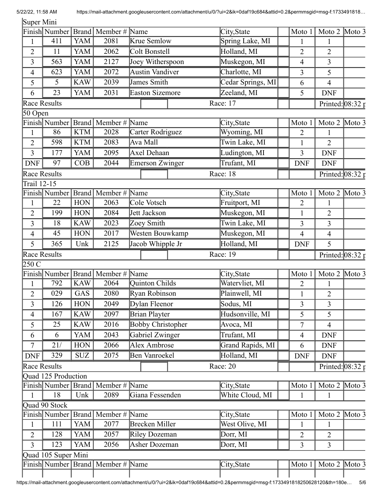Super Mini

|                     |                      |            | Finish Number Brand Member # Name     |                          |  | City, State                   | Moto 1         | Moto $2 \times 3$                 |                       |
|---------------------|----------------------|------------|---------------------------------------|--------------------------|--|-------------------------------|----------------|-----------------------------------|-----------------------|
| 1                   | 411                  | <b>YAM</b> | 2081                                  | Krue Semlow              |  | Spring Lake, MI               | $\mathbf{1}$   | $\mathbf{1}$                      |                       |
| $\overline{2}$      | 11                   | YAM        | 2062                                  | Colt Bonstell            |  | Holland, MI                   | $\overline{2}$ | $\overline{2}$                    |                       |
| 3                   | 563                  | <b>YAM</b> | 2127                                  | Joey Witherspoon         |  | Muskegon, MI                  | $\overline{4}$ | 3                                 |                       |
| $\overline{4}$      | 623                  | YAM        | 2072                                  | <b>Austin Vandiver</b>   |  | Charlotte, MI                 | 3              | 5                                 |                       |
| 5                   | 5                    | <b>KAW</b> | 2039                                  | James Smith              |  | Cedar Springs, MI             | 6              | 4                                 |                       |
| 6                   | 23                   | YAM        | 2031                                  | <b>Easton Sizemore</b>   |  | Zeeland, MI                   | 5              | <b>DNF</b>                        |                       |
|                     | Race Results         |            |                                       |                          |  | Race: 17                      |                | Printed: $08:32 \text{ p}$        |                       |
| 50 Open             |                      |            |                                       |                          |  |                               |                |                                   |                       |
|                     | Finish Number        |            | Brand   Member #                      | Name                     |  | City, State                   | Moto 1         | Moto $2 \times 3$                 |                       |
| 1                   | 86                   | <b>KTM</b> | 2028                                  | Carter Rodriguez         |  | Wyoming, MI                   | $\overline{2}$ |                                   |                       |
| $\overline{2}$      | 598                  | <b>KTM</b> | 2083                                  | Ava Mall                 |  | Twin Lake, MI                 | 1              | $\overline{2}$                    |                       |
| 3                   | 177                  | YAM        | 2095                                  | Axel Dehaan              |  | Ludington, MI                 | 3              | <b>DNF</b>                        |                       |
| <b>DNF</b>          | 97                   | COB        | 2044                                  | Emerson Zwinger          |  | Trufant, MI                   | <b>DNF</b>     | <b>DNF</b>                        |                       |
|                     | <b>Race Results</b>  |            |                                       |                          |  | Race: 18                      |                | Printed: $08:32 \bar{p}$          |                       |
| Trail 12-15         |                      |            |                                       |                          |  |                               |                |                                   |                       |
|                     |                      |            | Finish Number   Brand   Member # Name |                          |  | City, State                   | Moto 1         | Moto $2 \times 3$                 |                       |
| 1                   | 22                   | <b>HON</b> | 2063                                  | Cole Votsch              |  | Fruitport, MI                 | $\overline{2}$ | 1                                 |                       |
| $\overline{2}$      | 199                  | <b>HON</b> | 2084                                  | Jett Jackson             |  | Muskegon, MI                  | 1              | $\overline{2}$                    |                       |
| $\overline{3}$      | 18                   | <b>KAW</b> | 2023                                  | Zoey Smith               |  | Twin Lake, MI                 | 3              | 3                                 |                       |
| $\overline{4}$      | 45                   | <b>HON</b> | 2017                                  | Westen Bouwkamp          |  | Muskegon, MI                  | 4              | 4                                 |                       |
| 5                   | 365                  | Unk        | 2125                                  | Jacob Whipple Jr         |  | Holland, MI                   | <b>DNF</b>     | 5                                 |                       |
|                     | <b>Race Results</b>  |            |                                       |                          |  | Race: 19                      |                | Printed: $08:32 \text{ p}$        |                       |
|                     |                      |            |                                       |                          |  |                               |                |                                   |                       |
|                     |                      |            |                                       |                          |  |                               |                |                                   |                       |
| 250 C               |                      |            | Finish Number Brand Member # Name     |                          |  |                               | Moto 1         |                                   |                       |
| 1                   | 792                  | <b>KAW</b> | 2064                                  | Quinton Childs           |  | City, State<br>Watervliet, MI | $\overline{2}$ | Moto $2 \times 3$<br>$\mathbf{1}$ |                       |
|                     | 029                  | GAS        | 2080                                  | Ryan Robinson            |  | Plainwell, MI                 | 1              | 2                                 |                       |
| $\overline{2}$<br>3 | 126                  | <b>HON</b> | 2049                                  | Dylan Fleenor            |  | Sodus, MI                     | 3              | 3                                 |                       |
| $\overline{4}$      | 167                  | <b>KAW</b> | 2097                                  |                          |  |                               | 5              | 5                                 |                       |
|                     |                      |            |                                       | Brian Playter            |  | Hudsonville, MI               |                | $\overline{4}$                    |                       |
| 5                   | 25                   | <b>KAW</b> | 2016                                  | <b>Bobby Christopher</b> |  | Avoca, MI                     | $\overline{7}$ |                                   |                       |
| 6                   | 6                    | YAM        | 2043                                  | Gabriel Zwinger          |  | Trufant, MI                   | $\overline{4}$ | <b>DNF</b>                        |                       |
| $\overline{7}$      | 21/                  | <b>HON</b> | 2066                                  | <b>Alex Ambrose</b>      |  | <b>Grand Rapids</b> , MI      | 6              | <b>DNF</b>                        |                       |
| <b>DNF</b>          | 329                  | <b>SUZ</b> | 2075                                  | Ben Vanroekel            |  | Holland, MI                   | <b>DNF</b>     | <b>DNF</b>                        |                       |
|                     | Race Results         |            |                                       |                          |  | Race: 20                      |                |                                   | Printed: $08:32 \tau$ |
|                     | Quad 125 Production  |            |                                       |                          |  |                               |                |                                   |                       |
|                     |                      |            | Finish Number   Brand   Member # Name |                          |  | City, State                   | Moto 1         | Moto $2 \overline{\text{Moto 3}}$ |                       |
| $\mathbf{1}$        | 18                   | Unk        | 2089                                  | Giana Fessenden          |  | White Cloud, MI               | 1              | 1                                 |                       |
|                     | Quad 90 Stock        |            |                                       |                          |  |                               | Moto 1         |                                   |                       |
| $\mathbf{1}$        | Finish Number<br>111 | YAM        | Brand   Member $\#$ Name<br>2077      | Brecken Miller           |  | City, State<br>West Olive, MI | 1              | Moto $2 \times 3$<br>1            |                       |
| $\overline{2}$      | 128                  | YAM        | 2057                                  | Riley Dozeman            |  | Dorr, MI                      | $\overline{2}$ | $\overline{2}$                    |                       |
| $\overline{3}$      | 123                  | YAM        | 2056                                  | Asher Dozeman            |  | Dorr, MI                      | $\overline{3}$ | $\overline{3}$                    |                       |
|                     |                      |            |                                       |                          |  |                               |                |                                   |                       |
|                     | Quad 105 Super Mini  |            | Finish Number Brand Member # Name     |                          |  | City, State                   | Moto 1         | Moto $2 \times 3$                 |                       |